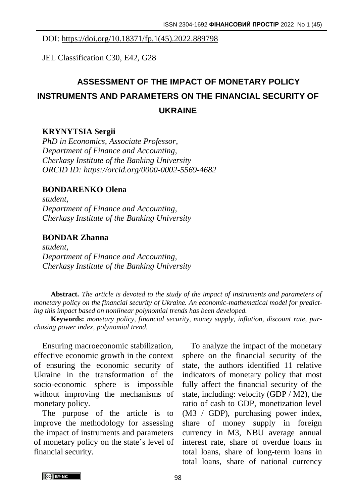# DOI: https://doi.org/10.18371/fp.1(45).2022.889798

JEL Classification C30, E42, G28

# **ASSESSMENT OF THE IMPACT OF MONETARY POLICY INSTRUMENTS AND PARAMETERS ON THE FINANCIAL SECURITY OF UKRAINE**

# **KRYNYTSIA Sergii**

*PhD in Economics, Associate Professor, Department of Finance and Accounting, Cherkasy Institute of the Banking University ORCID ID: https://orcid.org/0000-0002-5569-4682*

#### **BONDARENKO Olena**

*student, Department of Finance and Accounting, Cherkasy Institute of the Banking University* 

# **BONDAR Zhanna**

*student, Department of Finance and Accounting, Cherkasy Institute of the Banking University*

**Abstract.** *The article is devoted to the study of the impact of instruments and parameters of monetary policy on the financial security of Ukraine. An economic-mathematical model for predicting this impact based on nonlinear polynomial trends has been developed.*

**Keywords:** *monetary policy, financial security, money supply, inflation, discount rate, purchasing power index, polynomial trend.*

Ensuring macroeconomic stabilization, effective economic growth in the context of ensuring the economic security of Ukraine in the transformation of the socio-economic sphere is impossible without improving the mechanisms of monetary policy.

The purpose of the article is to improve the methodology for assessing the impact of instruments and parameters of monetary policy on the state's level of financial security.

To analyze the impact of the monetary sphere on the financial security of the state, the authors identified 11 relative indicators of monetary policy that most fully affect the financial security of the state, including: velocity (GDP / M2), the ratio of cash to GDP, monetization level (M3 / GDP), purchasing power index, share of money supply in foreign currency in M3, NBU average annual interest rate, share of overdue loans in total loans, share of long-term loans in total loans, share of national currency

CCO BY-NC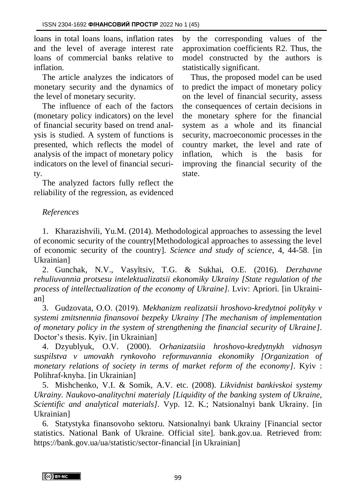loans in total loans loans, inflation rates and the level of average interest rate loans of commercial banks relative to inflation.

The article analyzes the indicators of monetary security and the dynamics of the level of monetary security.

The influence of each of the factors (monetary policy indicators) on the level of financial security based on trend analysis is studied. A system of functions is presented, which reflects the model of analysis of the impact of monetary policy indicators on the level of financial security.

The analyzed factors fully reflect the reliability of the regression, as evidenced by the corresponding values of the approximation coefficients R2. Thus, the model constructed by the authors is statistically significant.

Thus, the proposed model can be used to predict the impact of monetary policy on the level of financial security, assess the consequences of certain decisions in the monetary sphere for the financial system as a whole and its financial security, macroeconomic processes in the country market, the level and rate of inflation, which is the basis for improving the financial security of the state.

# *References*

1. Kharazishvili, Yu.M. (2014). Methodological approaches to assessing the level of economic security of the country[Methodological approaches to assessing the level of economic security of the country]. *Science and study of science*, 4, 44-58. [in Ukrainian]

2. Gunchak, N.V., Vasyltsiv, T.G. & Sukhai, O.E. (2016). *Derzhavne rehuliuvannia protsesu intelektualizatsii ekonomiky Ukrainy [State regulation of the process of intellectualization of the economy of Ukraine]*. Lviv: Apriori. [in Ukrainian]

3. Gudzovata, О.О. (2019). *Mekhanizm realizatsii hroshovo-kredytnoi polityky v systemi zmitsnennia finansovoi bezpeky Ukrainy [The mechanism of implementation of monetary policy in the system of strengthening the financial security of Ukraine]*. Doctor's thesis. Kyiv. [in Ukrainian]

4. Dzyublyuk, O.V. (2000). *Orhanizatsiia hroshovo-kredytnykh vidnosyn suspilstva v umovakh rynkovoho reformuvannia ekonomiky [Organization of monetary relations of society in terms of market reform of the economy]*. Kyiv : Polihraf-knyha. [in Ukrainian]

5. Mishchenko, V.I. & Somik, A.V. etc. (2008). *Likvidnist bankivskoi systemy Ukrainy. Naukovo-analitychni materialy [Liquidity of the banking system of Ukraine, Scientific and analytical materials]*. Vyp. 12. K.; Natsionalnyi bank Ukrainy. [in Ukrainian]

6. Statystyka finansovoho sektoru. Natsionalnyi bank Ukrainy [Financial sector statistics. National Bank of Ukraine. Official site]. bank.gov.ua. Retrieved from: https://bank.gov.ua/ua/statistic/sector-financial [in Ukrainian]